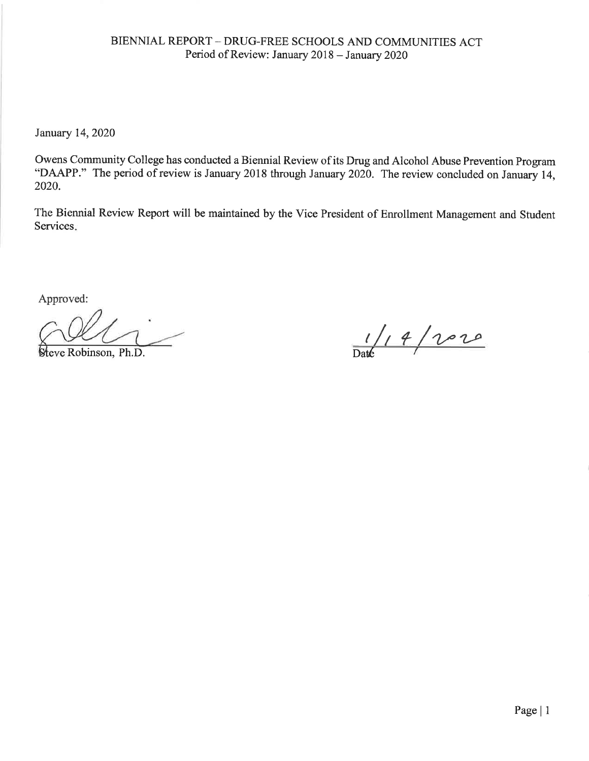January 14, 2020

Owens Community College has conducted a Biennial Review of its Drug and Alcohol Abuse Prevention Program "DAAPP." The period of review is January 2018 through January 2020. The review concluded on January 14, 2020.

The Biennial Review Report will be maintained by the Vice President of Enrollment Management and Student Services.

Approved:

ve Robinson, Ph.D.

 $1/14/1010$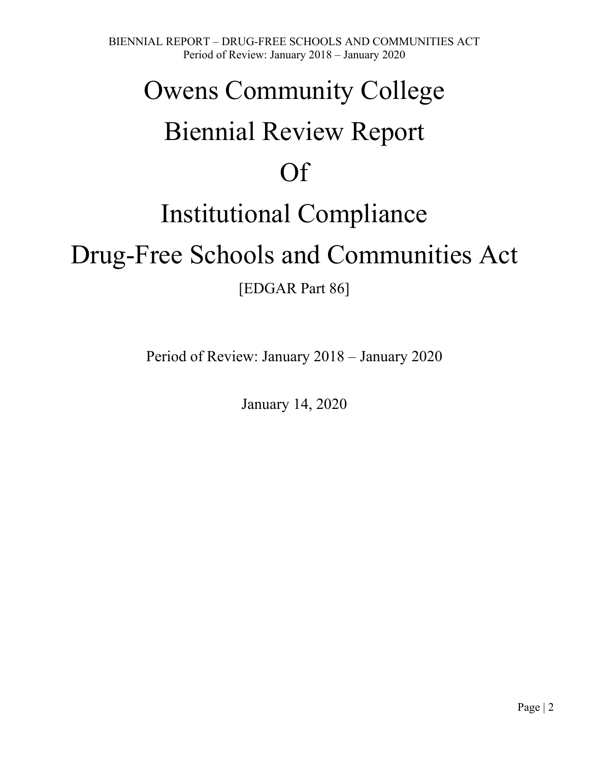# Owens Community College Biennial Review Report Of Institutional Compliance

## Drug-Free Schools and Communities Act

[EDGAR Part 86]

Period of Review: January 2018 – January 2020

January 14, 2020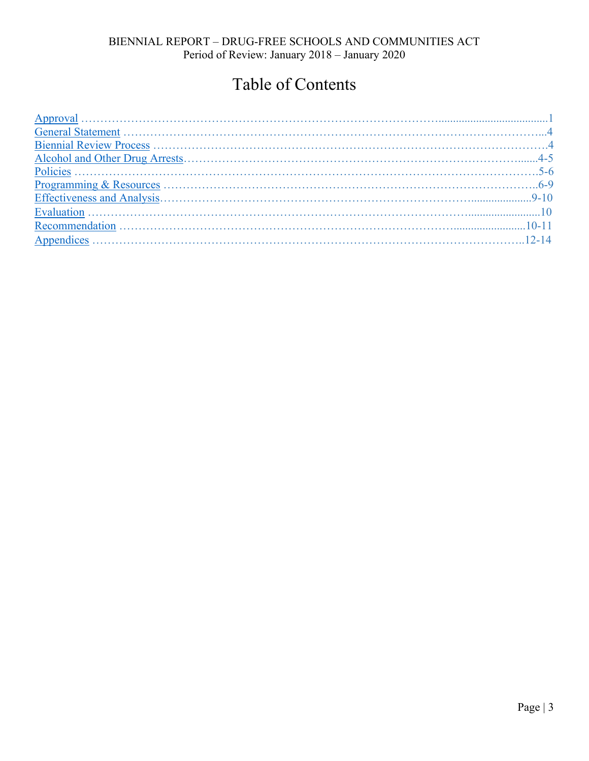## Table of Contents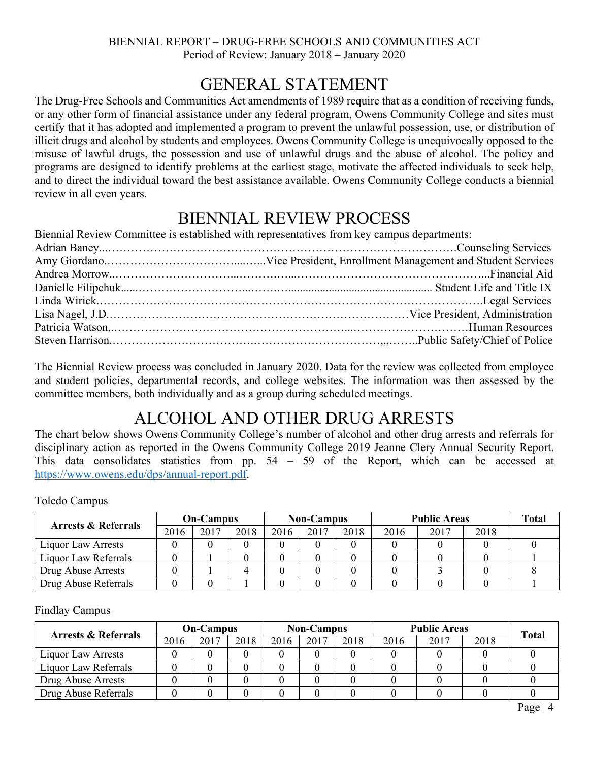## GENERAL STATEMENT

<span id="page-3-0"></span>The Drug-Free Schools and Communities Act amendments of 1989 require that as a condition of receiving funds, or any other form of financial assistance under any federal program, Owens Community College and sites must certify that it has adopted and implemented a program to prevent the unlawful possession, use, or distribution of illicit drugs and alcohol by students and employees. Owens Community College is unequivocally opposed to the misuse of lawful drugs, the possession and use of unlawful drugs and the abuse of alcohol. The policy and programs are designed to identify problems at the earliest stage, motivate the affected individuals to seek help, and to direct the individual toward the best assistance available. Owens Community College conducts a biennial review in all even years.

## BIENNIAL REVIEW PROCESS

| Biennial Review Committee is established with representatives from key campus departments: |  |
|--------------------------------------------------------------------------------------------|--|
|                                                                                            |  |
|                                                                                            |  |
|                                                                                            |  |
|                                                                                            |  |
|                                                                                            |  |
|                                                                                            |  |
|                                                                                            |  |
|                                                                                            |  |

The Biennial Review process was concluded in January 2020. Data for the review was collected from employee and student policies, departmental records, and college websites. The information was then assessed by the committee members, both individually and as a group during scheduled meetings.

## ALCOHOL AND OTHER DRUG ARRESTS

The chart below shows Owens Community College's number of alcohol and other drug arrests and referrals for disciplinary action as reported in the Owens Community College 2019 Jeanne Clery Annual Security Report. This data consolidates statistics from pp. 54 – 59 of the Report, which can be accessed at https://www.owens.edu/dps/annual-report.pdf.

Toledo Campus

| <b>Arrests &amp; Referrals</b> | <b>On-Campus</b> |      |      | <b>Non-Campus</b> |      |      | <b>Public Areas</b> | <b>Total</b> |      |  |
|--------------------------------|------------------|------|------|-------------------|------|------|---------------------|--------------|------|--|
|                                | 2016             | 2017 | 2018 | 2016              | 2017 | 2018 | 2016                | 2017         | 2018 |  |
| Liquor Law Arrests             |                  |      |      |                   |      |      |                     |              |      |  |
| Liquor Law Referrals           |                  |      |      |                   |      |      |                     |              |      |  |
| Drug Abuse Arrests             |                  |      |      |                   |      |      |                     |              |      |  |
| Drug Abuse Referrals           |                  |      |      |                   |      |      |                     |              |      |  |

Findlay Campus

| <b>Arrests &amp; Referrals</b> | <b>On-Campus</b> |      |      | <b>Non-Campus</b> |      |      | <b>Public Areas</b> |      |      |              |
|--------------------------------|------------------|------|------|-------------------|------|------|---------------------|------|------|--------------|
|                                | 2016             | 2017 | 2018 | 2016              | 2017 | 2018 | 2016                | 2017 | 2018 | <b>Total</b> |
| Liquor Law Arrests             |                  |      |      |                   |      |      |                     |      |      |              |
| Liquor Law Referrals           |                  |      |      |                   |      |      |                     |      |      |              |
| Drug Abuse Arrests             |                  |      |      |                   |      |      |                     |      |      |              |
| Drug Abuse Referrals           |                  |      |      |                   |      |      |                     |      |      |              |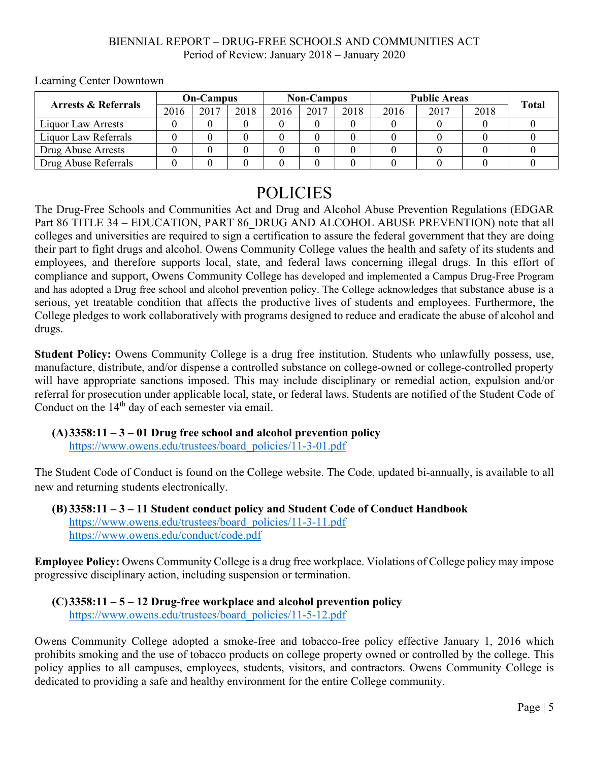| <b>Arrests &amp; Referrals</b> | <b>On-Campus</b> |      |      | <b>Non-Campus</b> |      |      | <b>Public Areas</b> |      |      |              |
|--------------------------------|------------------|------|------|-------------------|------|------|---------------------|------|------|--------------|
|                                | 2016             | 2017 | 2018 | 2016              | 2017 | 2018 | 2016                | 2017 | 2018 | <b>Total</b> |
| Liquor Law Arrests             |                  |      |      |                   |      |      |                     |      |      |              |
| Liquor Law Referrals           |                  |      |      |                   |      |      |                     |      |      |              |
| Drug Abuse Arrests             |                  |      |      |                   |      |      |                     |      |      |              |
| Drug Abuse Referrals           |                  |      |      |                   |      |      |                     |      |      |              |

<span id="page-4-0"></span>Learning Center Downtown

### POLICIES

The Drug-Free Schools and Communities Act and Drug and Alcohol Abuse Prevention Regulations (EDGAR Part 86 TITLE 34 – EDUCATION, PART 86 DRUG AND ALCOHOL ABUSE PREVENTION) note that all colleges and universities are required to sign a certification to assure the federal government that they are doing their part to fight drugs and alcohol. Owens Community College values the health and safety of its students and employees, and therefore supports local, state, and federal laws concerning illegal drugs. In this effort of compliance and support, Owens Community College has developed and implemented a Campus Drug-Free Program and has adopted a Drug free school and alcohol prevention policy. The College acknowledges that substance abuse is a serious, yet treatable condition that affects the productive lives of students and employees. Furthermore, the College pledges to work collaboratively with programs designed to reduce and eradicate the abuse of alcohol and drugs.

**Student Policy:** Owens Community College is a drug free institution. Students who unlawfully possess, use, manufacture, distribute, and/or dispense a controlled substance on college-owned or college-controlled property will have appropriate sanctions imposed. This may include disciplinary or remedial action, expulsion and/or referral for prosecution under applicable local, state, or federal laws. Students are notified of the Student Code of Conduct on the  $14<sup>th</sup>$  day of each semester via email.

#### **(A)3358:11 – 3 – 01 Drug free school and alcohol prevention policy**

https://www.owens.edu/trustees/board\_policies/11-3-01.pdf

The Student Code of Conduct is found on the College website. The Code, updated bi-annually, is available to all new and returning students electronically.

#### **(B) 3358:11 – 3 – 11 Student conduct policy and Student Code of Conduct Handbook**  https://www.owens.edu/trustees/board\_policies/11-3-11.pdf https://www.owens.edu/conduct/code.pdf

**Employee Policy:** Owens Community College is a drug free workplace. Violations of College policy may impose progressive disciplinary action, including suspension or termination.

#### **(C)3358:11 – 5 – 12 Drug-free workplace and alcohol prevention policy**  https://www.owens.edu/trustees/board\_policies/11-5-12.pdf

Owens Community College adopted a smoke-free and tobacco-free policy effective January 1, 2016 which prohibits smoking and the use of tobacco products on college property owned or controlled by the college. This policy applies to all campuses, employees, students, visitors, and contractors. Owens Community College is dedicated to providing a safe and healthy environment for the entire College community.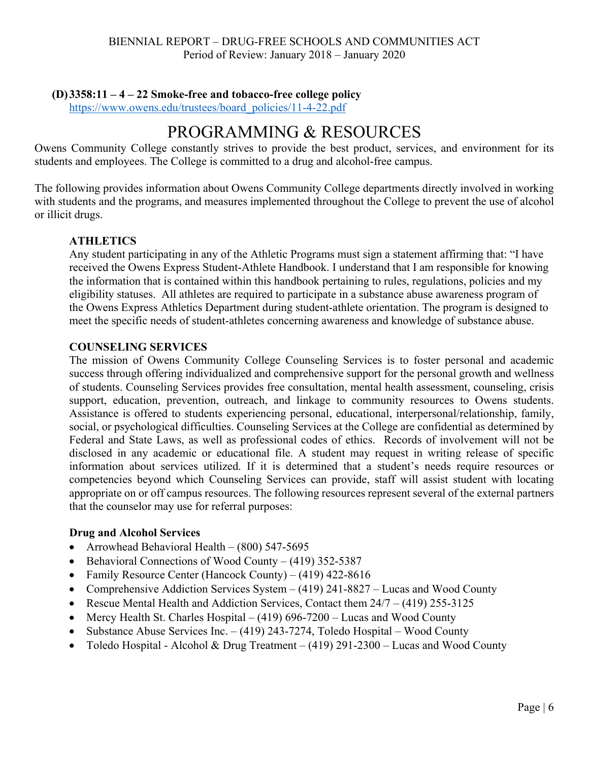#### <span id="page-5-0"></span>**(D)3358:11 – 4 – 22 Smoke-free and tobacco-free college policy**

https://www.owens.edu/trustees/board\_policies/11-4-22.pdf

## PROGRAMMING & RESOURCES

Owens Community College constantly strives to provide the best product, services, and environment for its students and employees. The College is committed to a drug and alcohol-free campus.

The following provides information about Owens Community College departments directly involved in working with students and the programs, and measures implemented throughout the College to prevent the use of alcohol or illicit drugs.

#### **ATHLETICS**

Any student participating in any of the Athletic Programs must sign a statement affirming that: "I have received the Owens Express Student-Athlete Handbook. I understand that I am responsible for knowing the information that is contained within this handbook pertaining to rules, regulations, policies and my eligibility statuses. All athletes are required to participate in a substance abuse awareness program of the Owens Express Athletics Department during student-athlete orientation. The program is designed to meet the specific needs of student-athletes concerning awareness and knowledge of substance abuse.

#### **COUNSELING SERVICES**

The mission of Owens Community College Counseling Services is to foster personal and academic success through offering individualized and comprehensive support for the personal growth and wellness of students. Counseling Services provides free consultation, mental health assessment, counseling, crisis support, education, prevention, outreach, and linkage to community resources to Owens students. Assistance is offered to students experiencing personal, educational, interpersonal/relationship, family, social, or psychological difficulties. Counseling Services at the College are confidential as determined by Federal and State Laws, as well as professional codes of ethics. Records of involvement will not be disclosed in any academic or educational file. A student may request in writing release of specific information about services utilized. If it is determined that a student's needs require resources or competencies beyond which Counseling Services can provide, staff will assist student with locating appropriate on or off campus resources. The following resources represent several of the external partners that the counselor may use for referral purposes:

#### **Drug and Alcohol Services**

- Arrowhead Behavioral Health  $(800)$  547-5695
- $\bullet$  Behavioral Connections of Wood County (419) 352-5387
- Family Resource Center (Hancock County) (419) 422-8616
- Comprehensive Addiction Services System  $(419) 241-8827 -$  Lucas and Wood County
- Rescue Mental Health and Addiction Services, Contact them  $24/7 (419)$  255-3125
- Mercy Health St. Charles Hospital  $(419)$  696-7200 Lucas and Wood County
- Substance Abuse Services Inc.  $(419)$  243-7274, Toledo Hospital Wood County
- Toledo Hospital Alcohol & Drug Treatment (419) 291-2300 Lucas and Wood County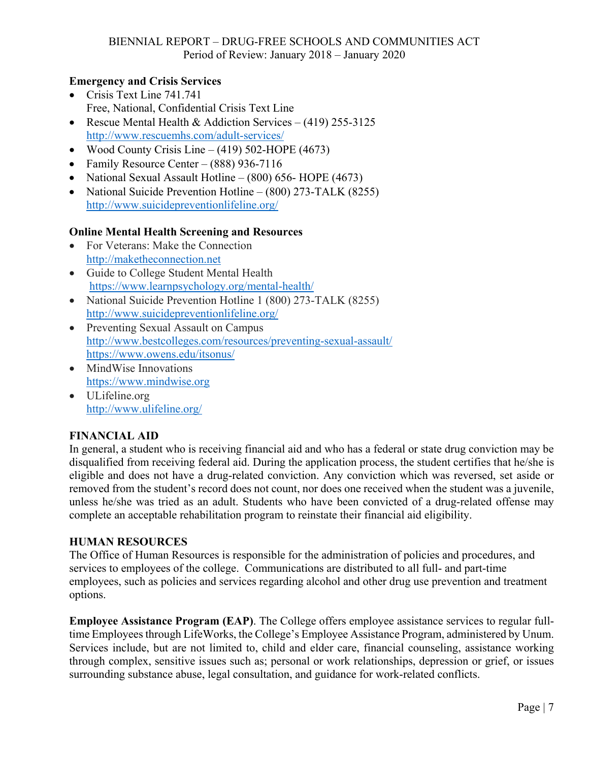#### **Emergency and Crisis Services**

- Crisis Text Line 741.741 Free, National, Confidential Crisis Text Line
- Rescue Mental Health & Addiction Services (419) 255-3125 http://www.rescuemhs.com/adult-services/
- Wood County Crisis Line (419) 502-HOPE (4673)
- Family Resource Center (888) 936-7116
- National Sexual Assault Hotline  $(800)$  656- HOPE (4673)
- National Suicide Prevention Hotline (800) 273-TALK (8255) http://www.suicidepreventionlifeline.org/

#### **Online Mental Health Screening and Resources**

- For Veterans: Make the Connection http://maketheconnection.net
- Guide to College Student Mental Health https://www.learnpsychology.org/mental-health/
- National Suicide Prevention Hotline 1 (800) 273-TALK (8255) http://www.suicidepreventionlifeline.org/
- Preventing Sexual Assault on Campus http://www.bestcolleges.com/resources/preventing-sexual-assault/ https://www.owens.edu/itsonus/
- MindWise Innovations https://www.mindwise.org
- ULifeline.org http://www.ulifeline.org/

#### **FINANCIAL AID**

In general, a student who is receiving financial aid and who has a federal or state drug conviction may be disqualified from receiving federal aid. During the application process, the student certifies that he/she is eligible and does not have a drug-related conviction. Any conviction which was reversed, set aside or removed from the student's record does not count, nor does one received when the student was a juvenile, unless he/she was tried as an adult. Students who have been convicted of a drug-related offense may complete an acceptable rehabilitation program to reinstate their financial aid eligibility.

#### **HUMAN RESOURCES**

The Office of Human Resources is responsible for the administration of policies and procedures, and services to employees of the college. Communications are distributed to all full- and part-time employees, such as policies and services regarding alcohol and other drug use prevention and treatment options.

**Employee Assistance Program (EAP)**. The College offers employee assistance services to regular fulltime Employees through LifeWorks, the College's Employee Assistance Program, administered by Unum. Services include, but are not limited to, child and elder care, financial counseling, assistance working through complex, sensitive issues such as; personal or work relationships, depression or grief, or issues surrounding substance abuse, legal consultation, and guidance for work-related conflicts.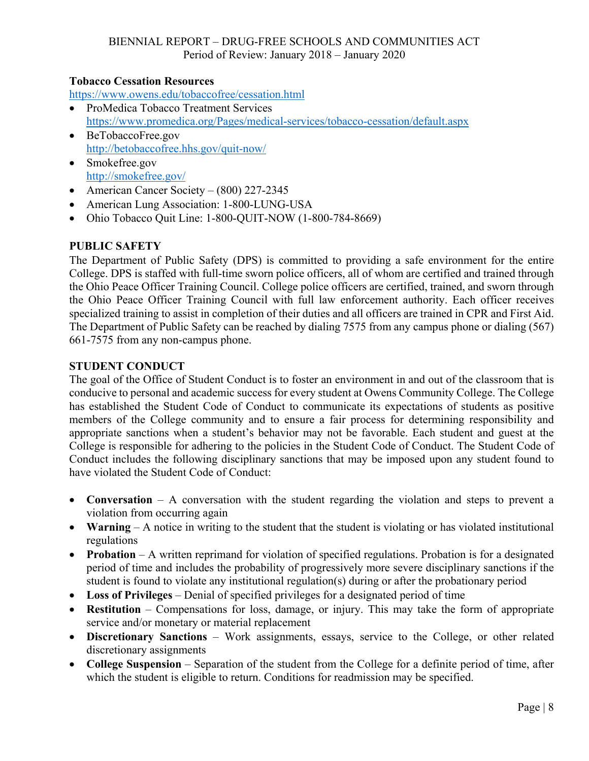#### **Tobacco Cessation Resources**

https://www.owens.edu/tobaccofree/cessation.html

- ProMedica Tobacco Treatment Services https://www.promedica.org/Pages/medical-services/tobacco-cessation/default.aspx
- BeTobaccoFree.gov http://betobaccofree.hhs.gov/quit-now/
- Smokefree.gov http://smokefree.gov/
- American Cancer Society (800) 227-2345
- American Lung Association: 1-800-LUNG-USA
- Ohio Tobacco Quit Line: 1-800-QUIT-NOW (1-800-784-8669)

#### **PUBLIC SAFETY**

The Department of Public Safety (DPS) is committed to providing a safe environment for the entire College. DPS is staffed with full-time sworn police officers, all of whom are certified and trained through the Ohio Peace Officer Training Council. College police officers are certified, trained, and sworn through the Ohio Peace Officer Training Council with full law enforcement authority. Each officer receives specialized training to assist in completion of their duties and all officers are trained in CPR and First Aid. The Department of Public Safety can be reached by dialing 7575 from any campus phone or dialing (567) 661-7575 from any non-campus phone.

#### **STUDENT CONDUCT**

The goal of the Office of Student Conduct is to foster an environment in and out of the classroom that is conducive to personal and academic success for every student at Owens Community College. The College has established the Student Code of Conduct to communicate its expectations of students as positive members of the College community and to ensure a fair process for determining responsibility and appropriate sanctions when a student's behavior may not be favorable. Each student and guest at the College is responsible for adhering to the policies in the Student Code of Conduct. The Student Code of Conduct includes the following disciplinary sanctions that may be imposed upon any student found to have violated the Student Code of Conduct:

- **Conversation** A conversation with the student regarding the violation and steps to prevent a violation from occurring again
- **Warning**  A notice in writing to the student that the student is violating or has violated institutional regulations
- **Probation** A written reprimand for violation of specified regulations. Probation is for a designated period of time and includes the probability of progressively more severe disciplinary sanctions if the student is found to violate any institutional regulation(s) during or after the probationary period
- **Loss of Privileges** Denial of specified privileges for a designated period of time
- **Restitution** Compensations for loss, damage, or injury. This may take the form of appropriate service and/or monetary or material replacement
- **Discretionary Sanctions**  Work assignments, essays, service to the College, or other related discretionary assignments
- **College Suspension** Separation of the student from the College for a definite period of time, after which the student is eligible to return. Conditions for readmission may be specified.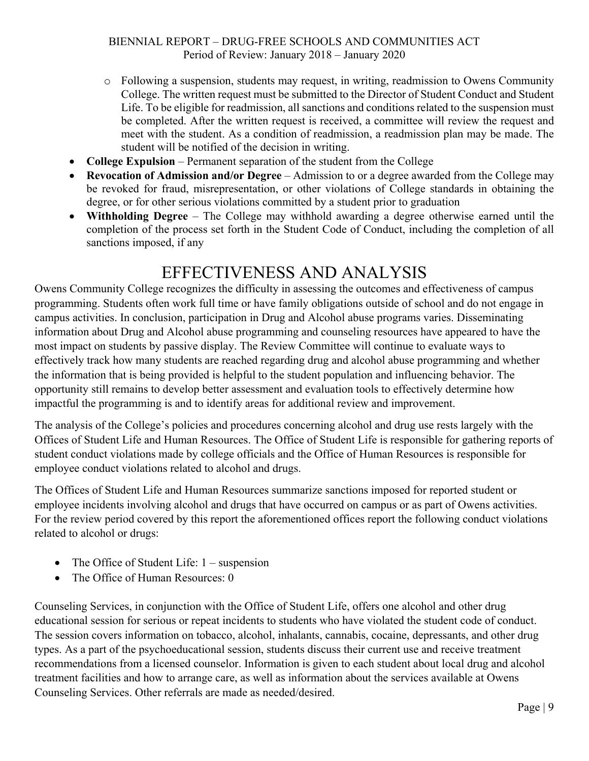- <span id="page-8-0"></span>o Following a suspension, students may request, in writing, readmission to Owens Community College. The written request must be submitted to the Director of Student Conduct and Student Life. To be eligible for readmission, all sanctions and conditions related to the suspension must be completed. After the written request is received, a committee will review the request and meet with the student. As a condition of readmission, a readmission plan may be made. The student will be notified of the decision in writing.
- **College Expulsion** Permanent separation of the student from the College
- **Revocation of Admission and/or Degree** Admission to or a degree awarded from the College may be revoked for fraud, misrepresentation, or other violations of College standards in obtaining the degree, or for other serious violations committed by a student prior to graduation
- **Withholding Degree** The College may withhold awarding a degree otherwise earned until the completion of the process set forth in the Student Code of Conduct, including the completion of all sanctions imposed, if any

## EFFECTIVENESS AND ANALYSIS

Owens Community College recognizes the difficulty in assessing the outcomes and effectiveness of campus programming. Students often work full time or have family obligations outside of school and do not engage in campus activities. In conclusion, participation in Drug and Alcohol abuse programs varies. Disseminating information about Drug and Alcohol abuse programming and counseling resources have appeared to have the most impact on students by passive display. The Review Committee will continue to evaluate ways to effectively track how many students are reached regarding drug and alcohol abuse programming and whether the information that is being provided is helpful to the student population and influencing behavior. The opportunity still remains to develop better assessment and evaluation tools to effectively determine how impactful the programming is and to identify areas for additional review and improvement.

The analysis of the College's policies and procedures concerning alcohol and drug use rests largely with the Offices of Student Life and Human Resources. The Office of Student Life is responsible for gathering reports of student conduct violations made by college officials and the Office of Human Resources is responsible for employee conduct violations related to alcohol and drugs.

The Offices of Student Life and Human Resources summarize sanctions imposed for reported student or employee incidents involving alcohol and drugs that have occurred on campus or as part of Owens activities. For the review period covered by this report the aforementioned offices report the following conduct violations related to alcohol or drugs:

- The Office of Student Life:  $1 -$  suspension
- The Office of Human Resources: 0

Counseling Services, in conjunction with the Office of Student Life, offers one alcohol and other drug educational session for serious or repeat incidents to students who have violated the student code of conduct. The session covers information on tobacco, alcohol, inhalants, cannabis, cocaine, depressants, and other drug types. As a part of the psychoeducational session, students discuss their current use and receive treatment recommendations from a licensed counselor. Information is given to each student about local drug and alcohol treatment facilities and how to arrange care, as well as information about the services available at Owens Counseling Services. Other referrals are made as needed/desired.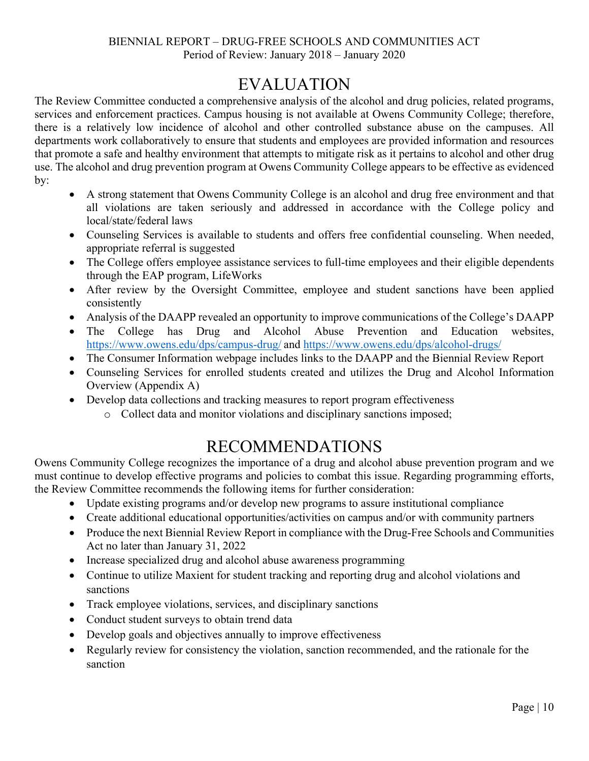## EVALUATION

<span id="page-9-0"></span>The Review Committee conducted a comprehensive analysis of the alcohol and drug policies, related programs, services and enforcement practices. Campus housing is not available at Owens Community College; therefore, there is a relatively low incidence of alcohol and other controlled substance abuse on the campuses. All departments work collaboratively to ensure that students and employees are provided information and resources that promote a safe and healthy environment that attempts to mitigate risk as it pertains to alcohol and other drug use. The alcohol and drug prevention program at Owens Community College appears to be effective as evidenced by:

- A strong statement that Owens Community College is an alcohol and drug free environment and that all violations are taken seriously and addressed in accordance with the College policy and local/state/federal laws
- Counseling Services is available to students and offers free confidential counseling. When needed, appropriate referral is suggested
- The College offers employee assistance services to full-time employees and their eligible dependents through the EAP program, LifeWorks
- After review by the Oversight Committee, employee and student sanctions have been applied consistently
- Analysis of the DAAPP revealed an opportunity to improve communications of the College's DAAPP
- The College has Drug and Alcohol Abuse Prevention and Education websites, https://www.owens.edu/dps/campus-drug/ and https://www.owens.edu/dps/alcohol-drugs/
- The Consumer Information webpage includes links to the DAAPP and the Biennial Review Report
- Counseling Services for enrolled students created and utilizes the Drug and Alcohol Information Overview (Appendix A)
- Develop data collections and tracking measures to report program effectiveness
	- o Collect data and monitor violations and disciplinary sanctions imposed;

## RECOMMENDATIONS

Owens Community College recognizes the importance of a drug and alcohol abuse prevention program and we must continue to develop effective programs and policies to combat this issue. Regarding programming efforts, the Review Committee recommends the following items for further consideration:

- Update existing programs and/or develop new programs to assure institutional compliance
- Create additional educational opportunities/activities on campus and/or with community partners
- Produce the next Biennial Review Report in compliance with the Drug-Free Schools and Communities Act no later than January 31, 2022
- Increase specialized drug and alcohol abuse awareness programming
- Continue to utilize Maxient for student tracking and reporting drug and alcohol violations and sanctions
- Track employee violations, services, and disciplinary sanctions
- Conduct student surveys to obtain trend data
- Develop goals and objectives annually to improve effectiveness
- Regularly review for consistency the violation, sanction recommended, and the rationale for the sanction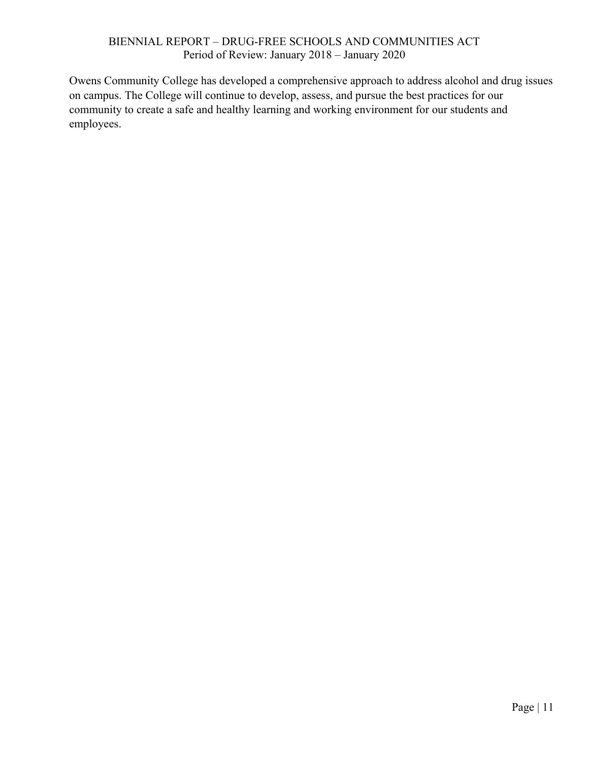Owens Community College has developed a comprehensive approach to address alcohol and drug issues on campus. The College will continue to develop, assess, and pursue the best practices for our community to create a safe and healthy learning and working environment for our students and employees.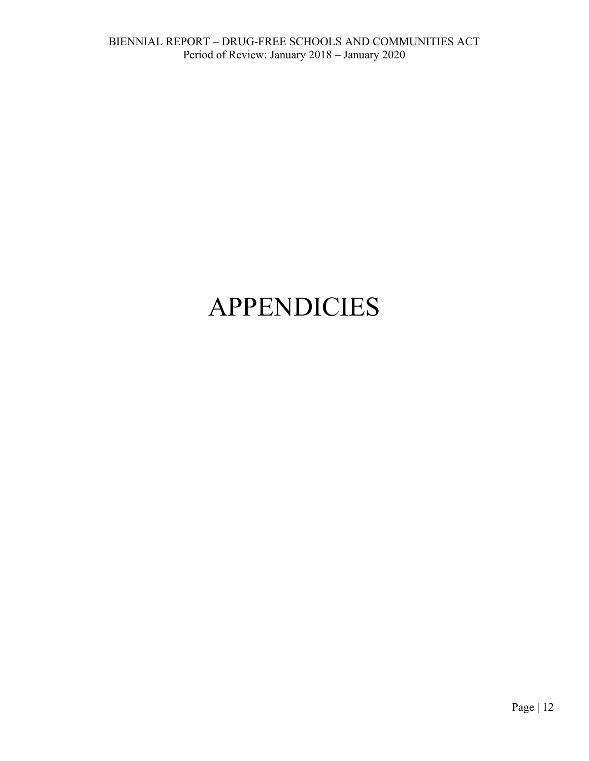## <span id="page-11-0"></span>APPENDICIES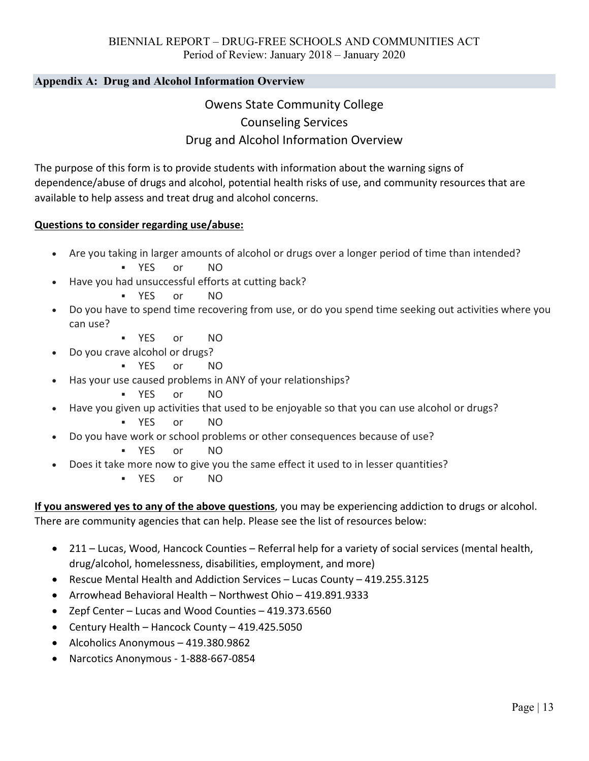#### **Appendix A: Drug and Alcohol Information Overview**

#### Owens State Community College Counseling Services Drug and Alcohol Information Overview

The purpose of this form is to provide students with information about the warning signs of dependence/abuse of drugs and alcohol, potential health risks of use, and community resources that are available to help assess and treat drug and alcohol concerns.

#### **Questions to consider regarding use/abuse:**

- Are you taking in larger amounts of alcohol or drugs over a longer period of time than intended? YES or NO
- Have you had unsuccessful efforts at cutting back?
	- YES or NO
- Do you have to spend time recovering from use, or do you spend time seeking out activities where you can use?
	- YES or NO
- Do you crave alcohol or drugs?
	- YES or NO
- Has your use caused problems in ANY of your relationships?
	- YES or NO
- Have you given up activities that used to be enjoyable so that you can use alcohol or drugs?
	- YES or NO
- Do you have work or school problems or other consequences because of use?
	- YES or NO
- Does it take more now to give you the same effect it used to in lesser quantities?
	- YES or NO

**If you answered yes to any of the above questions**, you may be experiencing addiction to drugs or alcohol. There are community agencies that can help. Please see the list of resources below:

- 211 Lucas, Wood, Hancock Counties Referral help for a variety of social services (mental health, drug/alcohol, homelessness, disabilities, employment, and more)
- Rescue Mental Health and Addiction Services Lucas County 419.255.3125
- Arrowhead Behavioral Health Northwest Ohio 419.891.9333
- Zepf Center Lucas and Wood Counties 419.373.6560
- Century Health Hancock County 419.425.5050
- Alcoholics Anonymous 419.380.9862
- Narcotics Anonymous ‐ 1‐888‐667‐0854